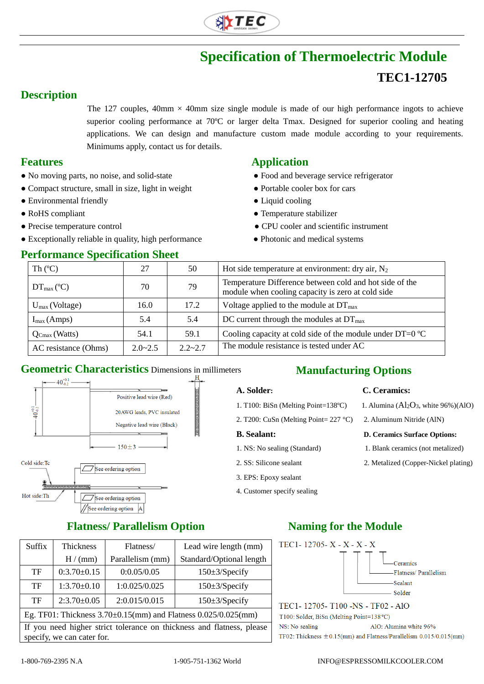

# **Specification of Thermoelectric Module TEC1-12705**

## **Description**

The 127 couples,  $40 \text{mm} \times 40 \text{mm}$  size single module is made of our high performance ingots to achieve superior cooling performance at 70°C or larger delta Tmax. Designed for superior cooling and heating applications. We can design and manufacture custom made module according to your requirements. Minimums apply, contact us for details.

- No moving parts, no noise, and solid-state **•** Food and beverage service refrigerator
- Compact structure, small in size, light in weight Portable cooler box for cars
- Environmental friendly **•** Liquid cooling
- 
- 
- Exceptionally reliable in quality, high performance • Photonic and medical systems

#### **Performance Specification Sheet**

### **Features Application**

- 
- 
- 
- RoHS compliant  $\bullet$  Temperature stabilizer
- Precise temperature control CPU cooler and scientific instrument
	-

| Th $(C)$                   | 27          | 50          | Hot side temperature at environment: dry air, $N_2$                                                          |  |
|----------------------------|-------------|-------------|--------------------------------------------------------------------------------------------------------------|--|
| $DT_{\text{max}}$ (°C)     | 70          | 79          | Temperature Difference between cold and hot side of the<br>module when cooling capacity is zero at cold side |  |
| $U_{\text{max}}$ (Voltage) | 16.0        | 17.2        | Voltage applied to the module at $DT_{\text{max}}$                                                           |  |
| $I_{max}(Amps)$            | 5.4         | 5.4         | DC current through the modules at $DT_{\text{max}}$                                                          |  |
| $Q_{Cmax}$ (Watts)         | 54.1        | 59.1        | Cooling capacity at cold side of the module under $DT=0$ °C                                                  |  |
| AC resistance (Ohms)       | $2.0 - 2.5$ | $2.2 - 2.7$ | The module resistance is tested under AC                                                                     |  |

3. EPS: Epoxy sealant 4. Customer specify sealing

### **Geometric Characteristics** Dimensions in millimeters **Manufacturing Options**



## **A. Solder: C. Ceramics:**

- 1. T100: BiSn (Melting Point=138°C) 1. Alumina  $(A<sub>12</sub>O<sub>3</sub>$ , white 96%)(AlO)
- 2. T200: CuSn (Melting Point= 227 °C) 2. Aluminum Nitride (AlN)

#### **B. Sealant: D. Ceramics Surface Options:**

- 1. NS: No sealing (Standard) 1. Blank ceramics (not metalized)
- 2. SS: Silicone sealant 2. Metalized (Copper-Nickel plating)

## **Flatness/ Parallelism Option Naming for the Module**

| Suffix                                                                                              | <b>Thickness</b> | Flatness/        | Lead wire length (mm)    |  |  |
|-----------------------------------------------------------------------------------------------------|------------------|------------------|--------------------------|--|--|
|                                                                                                     | H/(mm)           | Parallelism (mm) | Standard/Optional length |  |  |
| TF                                                                                                  | $0:3.70\pm0.15$  | 0:0.05/0.05      | $150\pm3$ /Specify       |  |  |
| TF                                                                                                  | $1:3.70\pm0.10$  | 1:0.025/0.025    | $150\pm3$ /Specify       |  |  |
| TF                                                                                                  | $2:3.70\pm0.05$  | 2:0.015/0.015    | $150\pm3$ /Specify       |  |  |
| Eg. TF01: Thickness 3.70±0.15(mm) and Flatness 0.025/0.025(mm)                                      |                  |                  |                          |  |  |
| If you need higher strict tolerance on thickness and flatness, please<br>specify, we can cater for. |                  |                  |                          |  |  |



T100: Solder, BiSn (Melting Point=138 °C) NS: No sealing AlO: Alumina white 96% TF02: Thickness  $\pm$  0.15(mm) and Flatness/Parallelism 0.015/0.015(mm)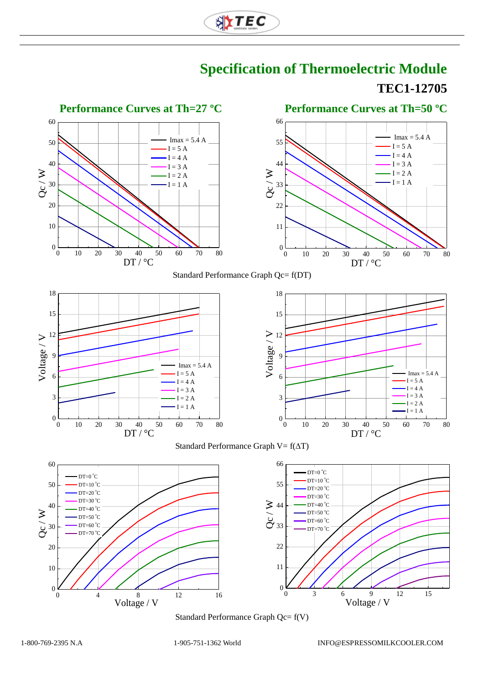





Standard Performance Graph Qc= f(V)